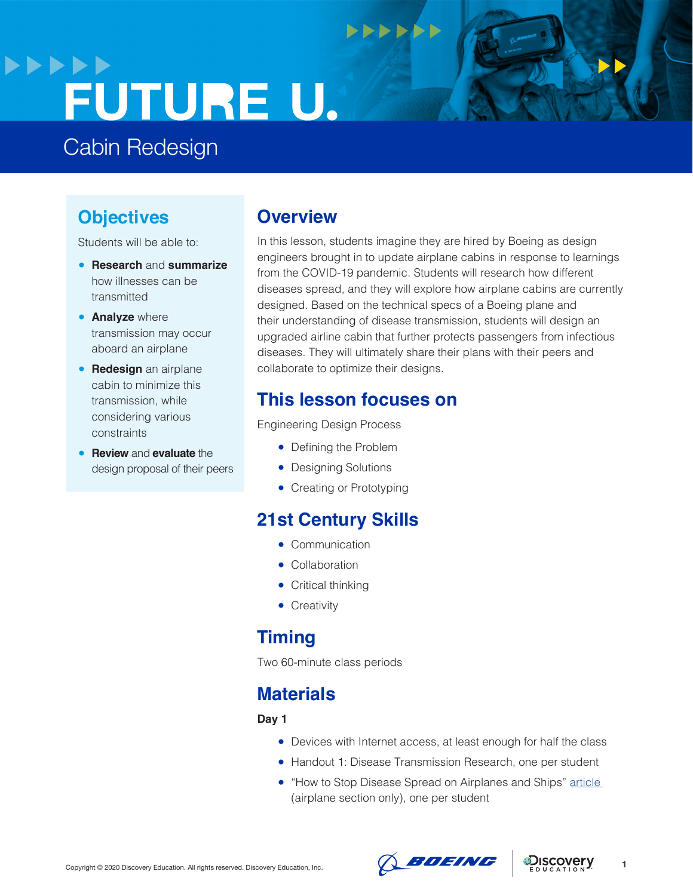# **>>>>>>** FUTURE U.

Cabin Redesign

## **Objectives**

Students will be able to:

- **Research** and **summarize** how illnesses can be transmitted
- **Analyze** where transmission may occur aboard an airplane
- **Redesign** an airplane cabin to minimize this transmission, while considering various constraints
- **Review** and **evaluate** the design proposal of their peers

## **Overview**

In this lesson, students imagine they are hired by Boeing as design engineers brought in to update airplane cabins in response to learnings from the COVID-19 pandemic. Students will research how different diseases spread, and they will explore how airplane cabins are currently designed. Based on the technical specs of a Boeing plane and their understanding of disease transmission, students will design an upgraded airline cabin that further protects passengers from infectious diseases. They will ultimately share their plans with their peers and collaborate to optimize their designs.

 $+$ 

## **This lesson focuses on**

Engineering Design Process

- Defining the Problem
- Designing Solutions
- Creating or Prototyping

# **21st Century Skills**

- Communication
- Collaboration
- Critical thinking
- Creativity

# **Timing**

Two 60-minute class periods

# **Materials**

#### **Day 1**

- Devices with Internet access, at least enough for half the class
- Handout 1: Disease Transmission Research, one per student
- "How to Stop Disease Spread on Airplanes and Ships" article (airplane section only), one per student



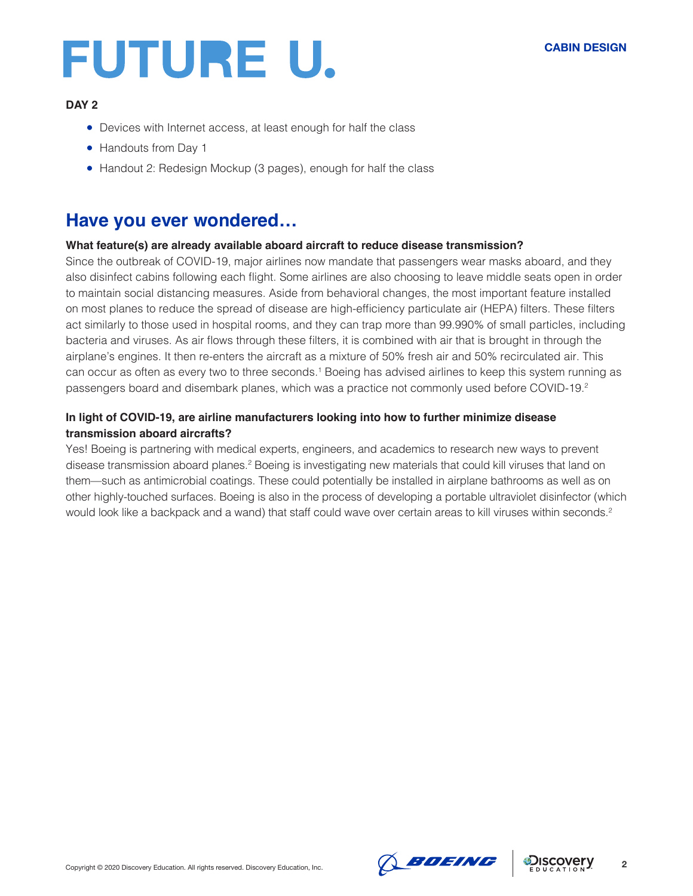#### **DAY 2**

- Devices with Internet access, at least enough for half the class
- Handouts from Day 1
- Handout 2: Redesign Mockup (3 pages), enough for half the class

### **Have you ever wondered…**

#### **What feature(s) are already available aboard aircraft to reduce disease transmission?**

Since the outbreak of COVID-19, major airlines now mandate that passengers wear masks aboard, and they also disinfect cabins following each flight. Some airlines are also choosing to leave middle seats open in order to maintain social distancing measures. Aside from behavioral changes, the most important feature installed on most planes to reduce the spread of disease are high-efficiency particulate air (HEPA) filters. These filters act similarly to those used in hospital rooms, and they can trap more than 99.990% of small particles, including bacteria and viruses. As air flows through these filters, it is combined with air that is brought in through the airplane's engines. It then re-enters the aircraft as a mixture of 50% fresh air and 50% recirculated air. This can occur as often as every two to three seconds.<sup>1</sup> Boeing has advised airlines to keep this system running as passengers board and disembark planes, which was a practice not commonly used before COVID-19.2

#### **In light of COVID-19, are airline manufacturers looking into how to further minimize disease transmission aboard aircrafts?**

Yes! Boeing is partnering with medical experts, engineers, and academics to research new ways to prevent disease transmission aboard planes.<sup>2</sup> Boeing is investigating new materials that could kill viruses that land on them—such as antimicrobial coatings. These could potentially be installed in airplane bathrooms as well as on other highly-touched surfaces. Boeing is also in the process of developing a portable ultraviolet disinfector (which would look like a backpack and a wand) that staff could wave over certain areas to kill viruses within seconds.<sup>2</sup>



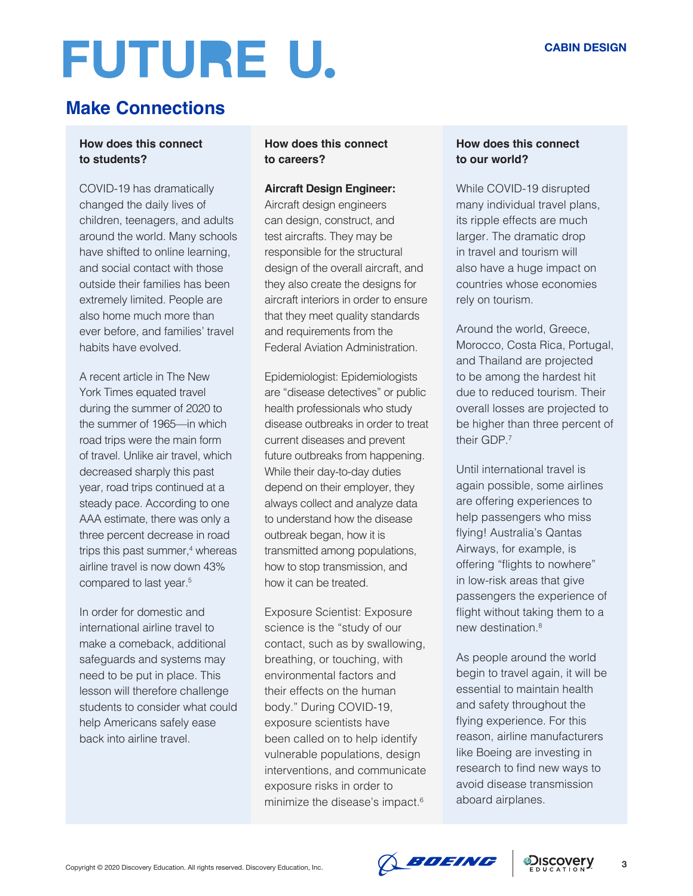# **Make Connections**

#### **How does this connect to students?**

COVID-19 has dramatically changed the daily lives of children, teenagers, and adults around the world. Many schools have shifted to online learning, and social contact with those outside their families has been extremely limited. People are also home much more than ever before, and families' travel habits have evolved.

A recent article in The New York Times equated travel during the summer of 2020 to the summer of 1965—in which road trips were the main form of travel. Unlike air travel, which decreased sharply this past year, road trips continued at a steady pace. According to one AAA estimate, there was only a three percent decrease in road trips this past summer,<sup>4</sup> whereas airline travel is now down 43% compared to last year.<sup>5</sup>

In order for domestic and international airline travel to make a comeback, additional safeguards and systems may need to be put in place. This lesson will therefore challenge students to consider what could help Americans safely ease back into airline travel.

#### **How does this connect to careers?**

#### **Aircraft Design Engineer:**

Aircraft design engineers can design, construct, and test aircrafts. They may be responsible for the structural design of the overall aircraft, and they also create the designs for aircraft interiors in order to ensure that they meet quality standards and requirements from the Federal Aviation Administration.

Epidemiologist: Epidemiologists are "disease detectives" or public health professionals who study disease outbreaks in order to treat current diseases and prevent future outbreaks from happening. While their day-to-day duties depend on their employer, they always collect and analyze data to understand how the disease outbreak began, how it is transmitted among populations, how to stop transmission, and how it can be treated.

Exposure Scientist: Exposure science is the "study of our contact, such as by swallowing, breathing, or touching, with environmental factors and their effects on the human body." During COVID-19, exposure scientists have been called on to help identify vulnerable populations, design interventions, and communicate exposure risks in order to minimize the disease's impact.6

#### **How does this connect to our world?**

While COVID-19 disrupted many individual travel plans, its ripple effects are much larger. The dramatic drop in travel and tourism will also have a huge impact on countries whose economies rely on tourism.

Around the world, Greece, Morocco, Costa Rica, Portugal, and Thailand are projected to be among the hardest hit due to reduced tourism. Their overall losses are projected to be higher than three percent of their GDP<sup>7</sup>

Until international travel is again possible, some airlines are offering experiences to help passengers who miss flying! Australia's Qantas Airways, for example, is offering "flights to nowhere" in low-risk areas that give passengers the experience of flight without taking them to a new destination.8

As people around the world begin to travel again, it will be essential to maintain health and safety throughout the flying experience. For this reason, airline manufacturers like Boeing are investing in research to find new ways to avoid disease transmission aboard airplanes.

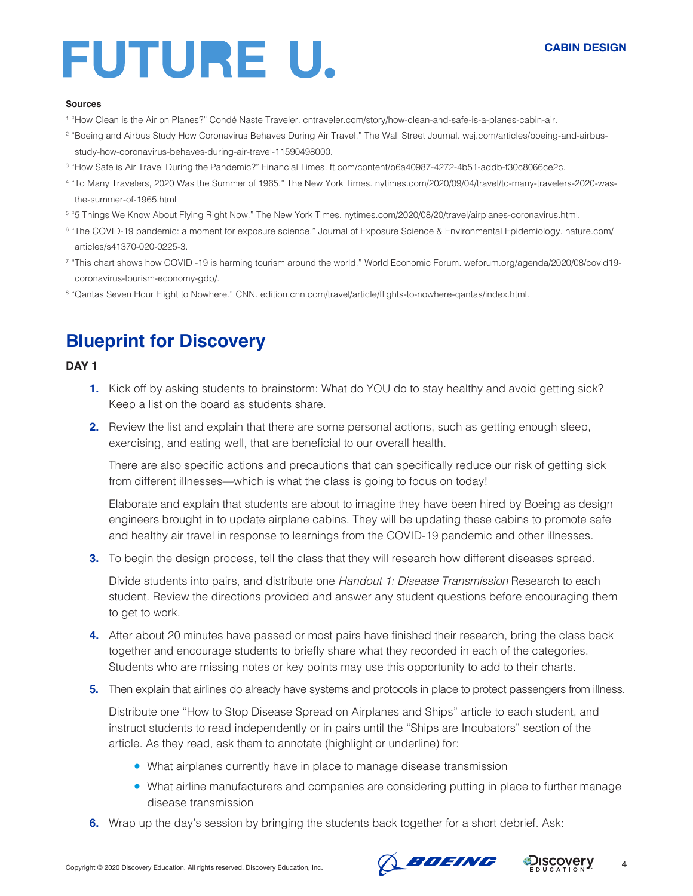#### **CABIN DESIGN**

#### **Sources**

- 1 "How Clean is the Air on Planes?" Condé Naste Traveler. cntraveler.com/story/how-clean-and-safe-is-a-planes-cabin-air.
- 2 "Boeing and Airbus Study How Coronavirus Behaves During Air Travel." The Wall Street Journal. wsj.com/articles/boeing-and-airbusstudy-how-coronavirus-behaves-during-air-travel-11590498000.
- 3 "How Safe is Air Travel During the Pandemic?" Financial Times. ft.com/content/b6a40987-4272-4b51-addb-f30c8066ce2c.
- 4 "To Many Travelers, 2020 Was the Summer of 1965." The New York Times. nytimes.com/2020/09/04/travel/to-many-travelers-2020-wasthe-summer-of-1965.html
- 5 "5 Things We Know About Flying Right Now." The New York Times. nytimes.com/2020/08/20/travel/airplanes-coronavirus.html.
- 6 "The COVID-19 pandemic: a moment for exposure science." Journal of Exposure Science & Environmental Epidemiology. nature.com/ articles/s41370-020-0225-3.
- <sup>7</sup> "This chart shows how COVID -19 is harming tourism around the world." World Economic Forum. weforum.org/agenda/2020/08/covid19coronavirus-tourism-economy-gdp/.
- 8 "Qantas Seven Hour Flight to Nowhere." CNN. edition.cnn.com/travel/article/flights-to-nowhere-qantas/index.html.

## **Blueprint for Discovery**

#### **DAY 1**

- **1.** Kick off by asking students to brainstorm: What do YOU do to stay healthy and avoid getting sick? Keep a list on the board as students share.
- **2.** Review the list and explain that there are some personal actions, such as getting enough sleep, exercising, and eating well, that are beneficial to our overall health.

There are also specific actions and precautions that can specifically reduce our risk of getting sick from different illnesses—which is what the class is going to focus on today!

Elaborate and explain that students are about to imagine they have been hired by Boeing as design engineers brought in to update airplane cabins. They will be updating these cabins to promote safe and healthy air travel in response to learnings from the COVID-19 pandemic and other illnesses.

**3.** To begin the design process, tell the class that they will research how different diseases spread.

Divide students into pairs, and distribute one *Handout 1: Disease Transmission* Research to each student. Review the directions provided and answer any student questions before encouraging them to get to work.

- **4.** After about 20 minutes have passed or most pairs have finished their research, bring the class back together and encourage students to briefly share what they recorded in each of the categories. Students who are missing notes or key points may use this opportunity to add to their charts.
- **5.** Then explain that airlines do already have systems and protocols in place to protect passengers from illness.

Distribute one "How to Stop Disease Spread on Airplanes and Ships" article to each student, and instruct students to read independently or in pairs until the "Ships are Incubators" section of the article. As they read, ask them to annotate (highlight or underline) for:

- What airplanes currently have in place to manage disease transmission
- What airline manufacturers and companies are considering putting in place to further manage disease transmission
- **6.** Wrap up the day's session by bringing the students back together for a short debrief. Ask:



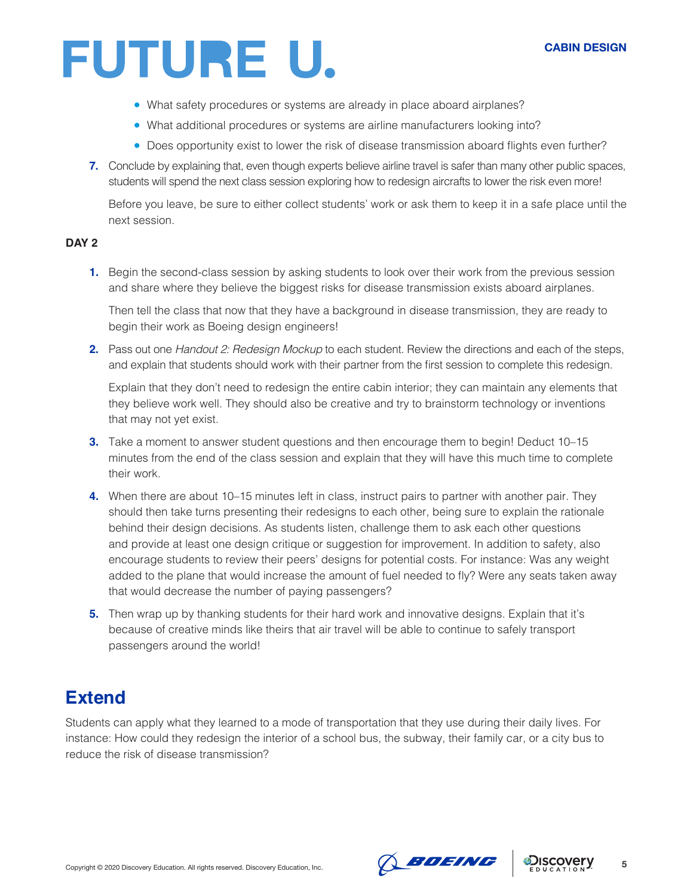#### **CABIN DESIGN**

# FUTURE U.

- What safety procedures or systems are already in place aboard airplanes?
- What additional procedures or systems are airline manufacturers looking into?
- Does opportunity exist to lower the risk of disease transmission aboard flights even further?
- **7.** Conclude by explaining that, even though experts believe airline travel is safer than many other public spaces, students will spend the next class session exploring how to redesign aircrafts to lower the risk even more!

Before you leave, be sure to either collect students' work or ask them to keep it in a safe place until the next session.

#### **DAY 2**

**1.** Begin the second-class session by asking students to look over their work from the previous session and share where they believe the biggest risks for disease transmission exists aboard airplanes.

Then tell the class that now that they have a background in disease transmission, they are ready to begin their work as Boeing design engineers!

**2.** Pass out one *Handout 2: Redesign Mockup* to each student. Review the directions and each of the steps, and explain that students should work with their partner from the first session to complete this redesign.

Explain that they don't need to redesign the entire cabin interior; they can maintain any elements that they believe work well. They should also be creative and try to brainstorm technology or inventions that may not yet exist.

- **3.** Take a moment to answer student questions and then encourage them to begin! Deduct 10–15 minutes from the end of the class session and explain that they will have this much time to complete their work.
- **4.** When there are about 10–15 minutes left in class, instruct pairs to partner with another pair. They should then take turns presenting their redesigns to each other, being sure to explain the rationale behind their design decisions. As students listen, challenge them to ask each other questions and provide at least one design critique or suggestion for improvement. In addition to safety, also encourage students to review their peers' designs for potential costs. For instance: Was any weight added to the plane that would increase the amount of fuel needed to fly? Were any seats taken away that would decrease the number of paying passengers?
- **5.** Then wrap up by thanking students for their hard work and innovative designs. Explain that it's because of creative minds like theirs that air travel will be able to continue to safely transport passengers around the world!

## **Extend**

Students can apply what they learned to a mode of transportation that they use during their daily lives. For instance: How could they redesign the interior of a school bus, the subway, their family car, or a city bus to reduce the risk of disease transmission?



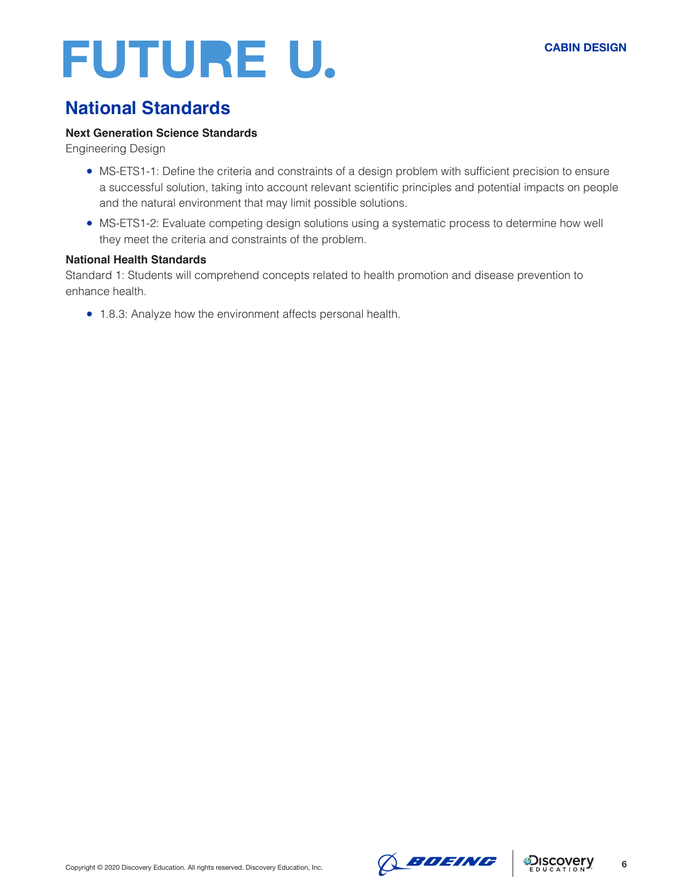# **National Standards**

#### **Next Generation Science Standards**

Engineering Design

- MS-ETS1-1: Define the criteria and constraints of a design problem with sufficient precision to ensure a successful solution, taking into account relevant scientific principles and potential impacts on people and the natural environment that may limit possible solutions.
- MS-ETS1-2: Evaluate competing design solutions using a systematic process to determine how well they meet the criteria and constraints of the problem.

#### **National Health Standards**

Standard 1: Students will comprehend concepts related to health promotion and disease prevention to enhance health.

● 1.8.3: Analyze how the environment affects personal health.



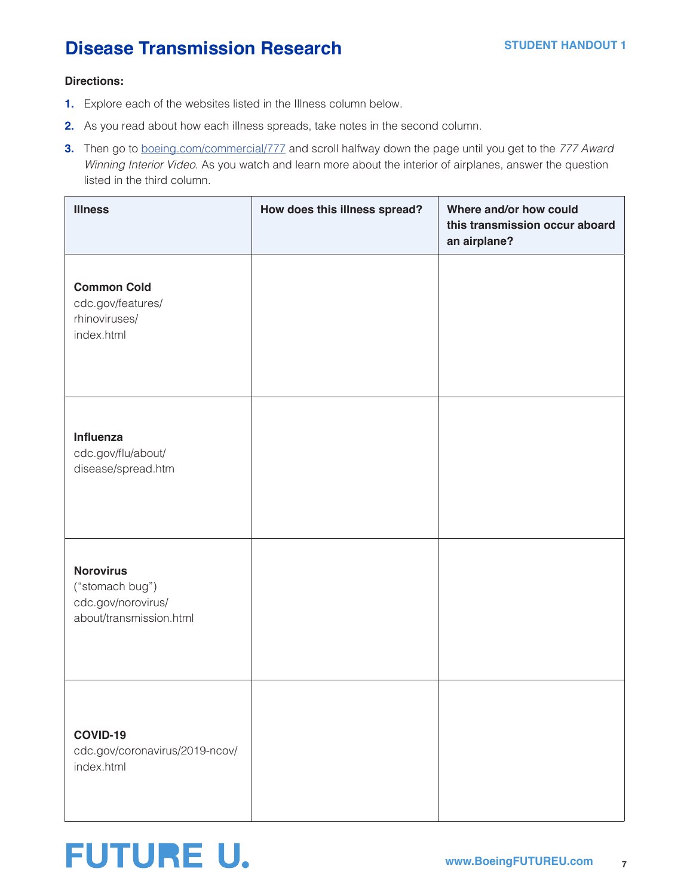## **Disease Transmission Research**

#### **Directions:**

- **1.** Explore each of the websites listed in the Illness column below.
- **2.** As you read about how each illness spreads, take notes in the second column.
- **3.** Then go to [boeing.com/commercial/777](http://boeing.com/commercial/777) and scroll halfway down the page until you get to the *777 Award Winning Interior Video*. As you watch and learn more about the interior of airplanes, answer the question listed in the third column.

| <b>Illness</b>                                                                       | How does this illness spread? | Where and/or how could<br>this transmission occur aboard<br>an airplane? |
|--------------------------------------------------------------------------------------|-------------------------------|--------------------------------------------------------------------------|
| <b>Common Cold</b><br>cdc.gov/features/<br>rhinoviruses/<br>index.html               |                               |                                                                          |
| Influenza<br>cdc.gov/flu/about/<br>disease/spread.htm                                |                               |                                                                          |
| <b>Norovirus</b><br>("stomach bug")<br>cdc.gov/norovirus/<br>about/transmission.html |                               |                                                                          |
| COVID-19<br>cdc.gov/coronavirus/2019-ncov/<br>index.html                             |                               |                                                                          |

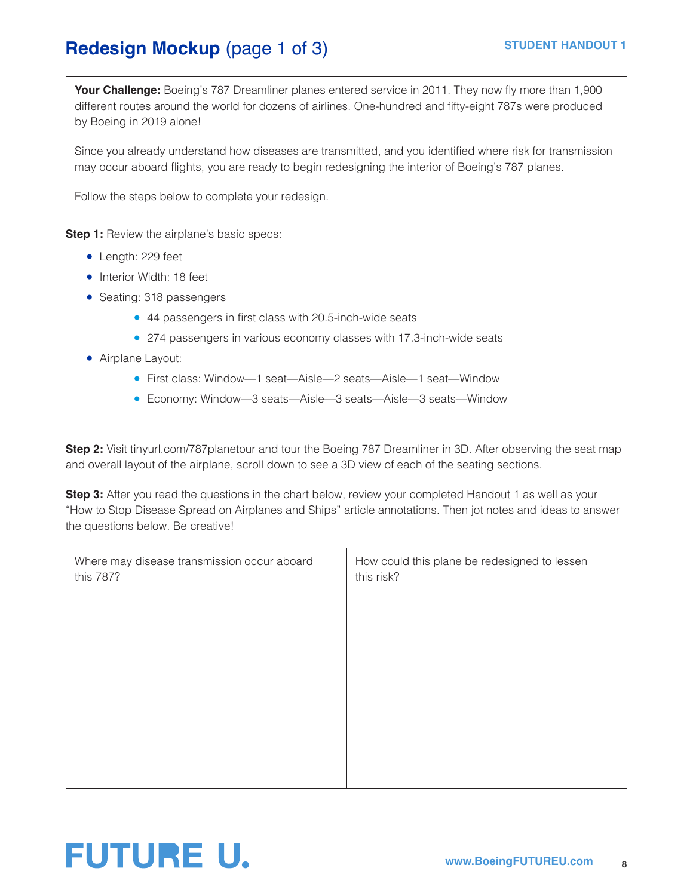# **Redesign Mockup** (page 1 of 3) STUDENT HANDOUT 1

**Your Challenge:** Boeing's 787 Dreamliner planes entered service in 2011. They now fly more than 1,900 different routes around the world for dozens of airlines. One-hundred and fifty-eight 787s were produced by Boeing in 2019 alone!

Since you already understand how diseases are transmitted, and you identified where risk for transmission may occur aboard flights, you are ready to begin redesigning the interior of Boeing's 787 planes.

Follow the steps below to complete your redesign.

**Step 1:** Review the airplane's basic specs:

- Length: 229 feet
- Interior Width: 18 feet
- Seating: 318 passengers
	- 44 passengers in first class with 20.5-inch-wide seats
	- 274 passengers in various economy classes with 17.3-inch-wide seats
- Airplane Layout:
	- First class: Window—1 seat—Aisle—2 seats—Aisle—1 seat—Window
	- Economy: Window—3 seats—Aisle—3 seats—Aisle—3 seats—Window

**Step 2:** Visit tinyurl.com/787planetour and tour the Boeing 787 Dreamliner in 3D. After observing the seat map and overall layout of the airplane, scroll down to see a 3D view of each of the seating sections.

**Step 3:** After you read the questions in the chart below, review your completed Handout 1 as well as your "How to Stop Disease Spread on Airplanes and Ships" article annotations. Then jot notes and ideas to answer the questions below. Be creative!

| Where may disease transmission occur aboard<br>this 787? | How could this plane be redesigned to lessen<br>this risk? |
|----------------------------------------------------------|------------------------------------------------------------|
|                                                          |                                                            |
|                                                          |                                                            |
|                                                          |                                                            |
|                                                          |                                                            |
|                                                          |                                                            |

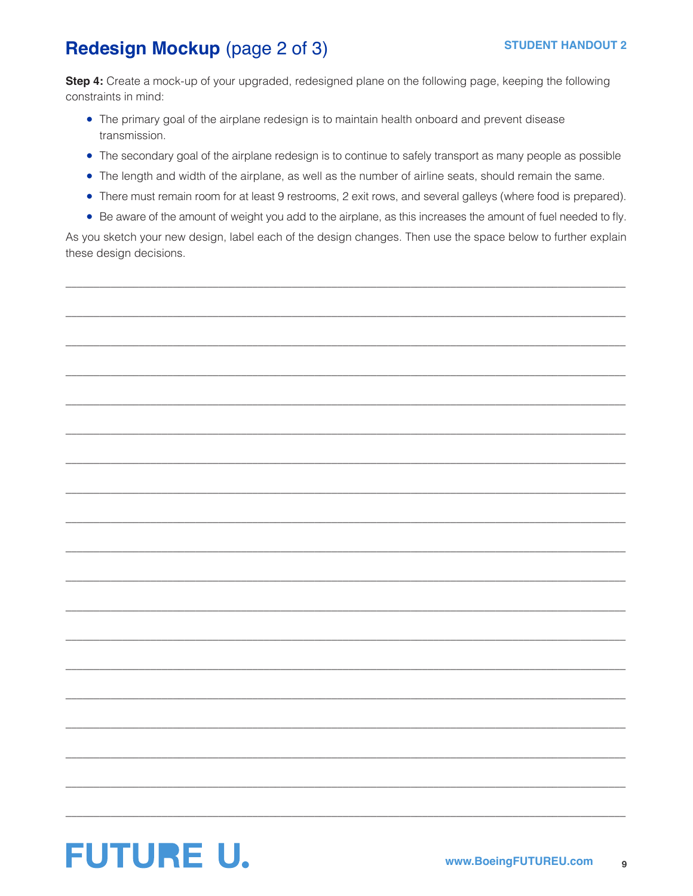# Redesign Mockup (page 2 of 3)

Step 4: Create a mock-up of your upgraded, redesigned plane on the following page, keeping the following constraints in mind:

- The primary goal of the airplane redesign is to maintain health onboard and prevent disease transmission.
- The secondary goal of the airplane redesign is to continue to safely transport as many people as possible
- The length and width of the airplane, as well as the number of airline seats, should remain the same.
- There must remain room for at least 9 restrooms, 2 exit rows, and several galleys (where food is prepared).
- Be aware of the amount of weight you add to the airplane, as this increases the amount of fuel needed to fly.

As you sketch your new design, label each of the design changes. Then use the space below to further explain these design decisions.